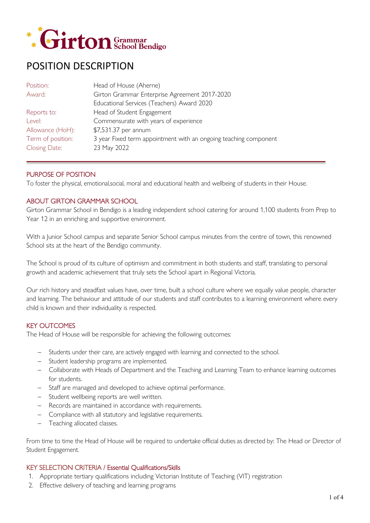

# POSITION DESCRIPTION

| Head of House (Aherne)                                           |
|------------------------------------------------------------------|
| Girton Grammar Enterprise Agreement 2017-2020                    |
| Educational Services (Teachers) Award 2020                       |
| Head of Student Engagement                                       |
| Commensurate with years of experience                            |
| \$7,531.37 per annum                                             |
| 3 year Fixed term appointment with an ongoing teaching component |
| 23 May 2022                                                      |
|                                                                  |

## PURPOSE OF POSITION

To foster the physical, emotional,social, moral and educational health and wellbeing of students in their House.

## ABOUT GIRTON GRAMMAR SCHOOL

Girton Grammar School in Bendigo is a leading independent school catering for around 1,100 students from Prep to Year 12 in an enriching and supportive environment.

With a Junior School campus and separate Senior School campus minutes from the centre of town, this renowned School sits at the heart of the Bendigo community.

The School is proud of its culture of optimism and commitment in both students and staff, translating to personal growth and academic achievement that truly sets the School apart in Regional Victoria.

Our rich history and steadfast values have, over time, built a school culture where we equally value people, character and learning. The behaviour and attitude of our students and staff contributes to a learning environment where every child is known and their individuality is respected.

## KEY OUTCOMES

The Head of House will be responsible for achieving the following outcomes:

- − Students under their care, are actively engaged with learning and connected to the school.
- − Student leadership programs are implemented.
- − Collaborate with Heads of Department and the Teaching and Learning Team to enhance learning outcomes for students.
- − Staff are managed and developed to achieve optimal performance.
- − Student wellbeing reports are well written.
- − Records are maintained in accordance with requirements.
- − Compliance with all statutory and legislative requirements.
- − Teaching allocated classes.

From time to time the Head of House will be required to undertake official duties as directed by: The Head or Director of Student Engagement.

#### KEY SELECTION CRITERIA / Essential Qualifications/Skills

- 1. Appropriate tertiary qualifications including Victorian Institute of Teaching (VIT) registration
- 2. Effective delivery of teaching and learning programs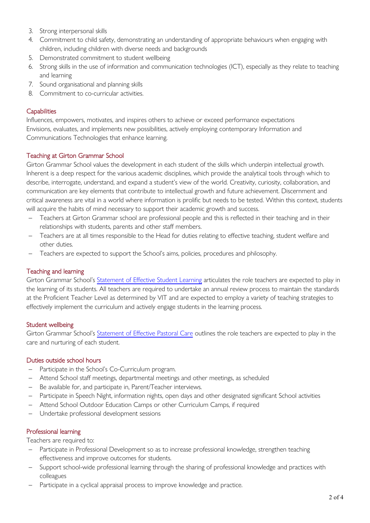- 3. Strong interpersonal skills
- 4. Commitment to child safety, demonstrating an understanding of appropriate behaviours when engaging with children, including children with diverse needs and backgrounds
- 5. Demonstrated commitment to student wellbeing
- 6. Strong skills in the use of information and communication technologies (ICT), especially as they relate to teaching and learning
- 7. Sound organisational and planning skills
- 8. Commitment to co-curricular activities.

## **Capabilities**

Influences, empowers, motivates, and inspires others to achieve or exceed performance expectations Envisions, evaluates, and implements new possibilities, actively employing contemporary Information and Communications Technologies that enhance learning.

## Teaching at Girton Grammar School

Girton Grammar School values the development in each student of the skills which underpin intellectual growth. Inherent is a deep respect for the various academic disciplines, which provide the analytical tools through which to describe, interrogate, understand, and expand a student's view of the world. Creativity, curiosity, collaboration, and communication are key elements that contribute to intellectual growth and future achievement. Discernment and critical awareness are vital in a world where information is prolific but needs to be tested. Within this context, students will acquire the habits of mind necessary to support their academic growth and success.

- − Teachers at Girton Grammar school are professional people and this is reflected in their teaching and in their relationships with students, parents and other staff members.
- − Teachers are at all times responsible to the Head for duties relating to effective teaching, student welfare and other duties.
- − Teachers are expected to support the School's aims, policies, procedures and philosophy.

# Teaching and learning

Girton Grammar School's [Statement of Effective Student Learning](https://www.girton.vic.edu.au/images/documents/GGS-Statement-of-Effective-Learning-A3-SPREADS-2015.pdf) articulates the role teachers are expected to play in the learning of its students. All teachers are required to undertake an annual review process to maintain the standards at the Proficient Teacher Level as determined by VIT and are expected to employ a variety of teaching strategies to effectively implement the curriculum and actively engage students in the learning process.

## Student wellbeing

Girton Grammar School's [Statement of Effective Pastoral Care](https://www.girton.vic.edu.au/images/documents/GGS-Statement-of-Effective-Pastoral-Care.pdf) outlines the role teachers are expected to play in the care and nurturing of each student.

## Duties outside school hours

- − Participate in the School's Co-Curriculum program.
- − Attend School staff meetings, departmental meetings and other meetings, as scheduled
- − Be available for, and participate in, Parent/Teacher interviews.
- − Participate in Speech Night, information nights, open days and other designated significant School activities
- − Attend School Outdoor Education Camps or other Curriculum Camps, if required
- − Undertake professional development sessions

# Professional learning

Teachers are required to:

- − Participate in Professional Development so as to increase professional knowledge, strengthen teaching effectiveness and improve outcomes for students.
- Support school-wide professional learning through the sharing of professional knowledge and practices with colleagues
- Participate in a cyclical appraisal process to improve knowledge and practice.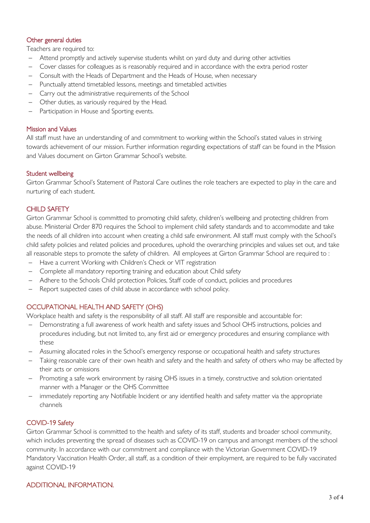## Other general duties

Teachers are required to:

- − Attend promptly and actively supervise students whilst on yard duty and during other activities
- − Cover classes for colleagues as is reasonably required and in accordance with the extra period roster
- − Consult with the Heads of Department and the Heads of House, when necessary
- − Punctually attend timetabled lessons, meetings and timetabled activities
- − Carry out the administrative requirements of the School
- − Other duties, as variously required by the Head.
- Participation in House and Sporting events.

#### Mission and Values

All staff must have an understanding of and commitment to working within the School's stated values in striving towards achievement of our mission. Further information regarding expectations of staff can be found in the Mission and Values document on Girton Grammar School's website.

#### Student wellbeing

Girton Grammar School's Statement of Pastoral Care outlines the role teachers are expected to play in the care and nurturing of each student.

## CHILD SAFFTY

Girton Grammar School is committed to promoting child safety, children's wellbeing and protecting children from abuse. Ministerial Order 870 requires the School to implement child safety standards and to accommodate and take the needs of all children into account when creating a child safe environment. All staff must comply with the School's child safety policies and related policies and procedures, uphold the overarching principles and values set out, and take all reasonable steps to promote the safety of children. All employees at Girton Grammar School are required to :

- − Have a current Working with Children's Check or VIT registration
- − Complete all mandatory reporting training and education about Child safety
- − Adhere to the Schools Child protection Policies, Staff code of conduct, policies and procedures
- Report suspected cases of child abuse in accordance with school policy.

## OCCUPATIONAL HEALTH AND SAFETY (OHS)

Workplace health and safety is the responsibility of all staff. All staff are responsible and accountable for:

- Demonstrating a full awareness of work health and safety issues and School OHS instructions, policies and procedures including, but not limited to, any first aid or emergency procedures and ensuring compliance with these
- − Assuming allocated roles in the School's emergency response or occupational health and safety structures
- Taking reasonable care of their own health and safety and the health and safety of others who may be affected by their acts or omissions
- − Promoting a safe work environment by raising OHS issues in a timely, constructive and solution orientated manner with a Manager or the OHS Committee
- immediately reporting any Notifiable Incident or any identified health and safety matter via the appropriate channels

## COVID-19 Safety

Girton Grammar School is committed to the health and safety of its staff, students and broader school community, which includes preventing the spread of diseases such as COVID-19 on campus and amongst members of the school community. In accordance with our commitment and compliance with the Victorian Government COVID-19 Mandatory Vaccination Health Order, all staff, as a condition of their employment, are required to be fully vaccinated against COVID-19

## ADDITIONAL INFORMATION.